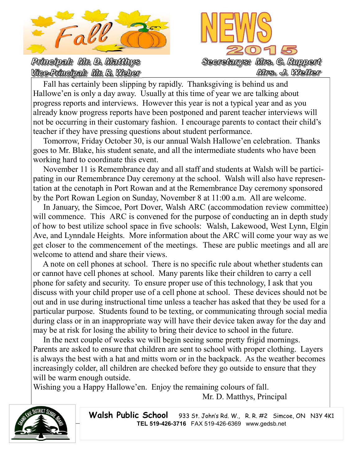

Principal: Mr. D. Matthys Vice-Principal: Mr. R. Weber



 Fall has certainly been slipping by rapidly. Thanksgiving is behind us and Hallowe'en is only a day away. Usually at this time of year we are talking about progress reports and interviews. However this year is not a typical year and as you already know progress reports have been postponed and parent teacher interviews will not be occurring in their customary fashion. I encourage parents to contact their child's teacher if they have pressing questions about student performance.

 Tomorrow, Friday October 30, is our annual Walsh Hallowe'en celebration. Thanks goes to Mr. Blake, his student senate, and all the intermediate students who have been working hard to coordinate this event.

 November 11 is Remembrance day and all staff and students at Walsh will be participating in our Remembrance Day ceremony at the school. Walsh will also have representation at the cenotaph in Port Rowan and at the Remembrance Day ceremony sponsored by the Port Rowan Legion on Sunday, November 8 at 11:00 a.m. All are welcome.

 In January, the Simcoe, Port Dover, Walsh ARC (accommodation review committee) will commence. This ARC is convened for the purpose of conducting an in depth study of how to best utilize school space in five schools: Walsh, Lakewood, West Lynn, Elgin Ave, and Lynndale Heights. More information about the ARC will come your way as we get closer to the commencement of the meetings. These are public meetings and all are welcome to attend and share their views.

 A note on cell phones at school. There is no specific rule about whether students can or cannot have cell phones at school. Many parents like their children to carry a cell phone for safety and security. To ensure proper use of this technology, I ask that you discuss with your child proper use of a cell phone at school. These devices should not be out and in use during instructional time unless a teacher has asked that they be used for a particular purpose. Students found to be texting, or communicating through social media during class or in an inappropriate way will have their device taken away for the day and may be at risk for losing the ability to bring their device to school in the future.

 In the next couple of weeks we will begin seeing some pretty frigid mornings. Parents are asked to ensure that children are sent to school with proper clothing. Layers is always the best with a hat and mitts worn or in the backpack. As the weather becomes increasingly colder, all children are checked before they go outside to ensure that they will be warm enough outside.

Wishing you a Happy Hallowe'en. Enjoy the remaining colours of fall.

Mr. D. Matthys, Principal



Walsh Public School 933 St. John's Rd. W., R. R. #2 Simcoe, ON N3Y 4K1 **TEL 519-426-3716** FAX 519-426-6369 www.gedsb.net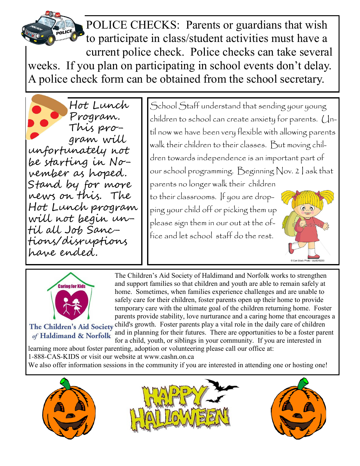POLICE CHECKS: Parents or guardians that wish to participate in class/student activities must have a current police check. Police checks can take several weeks. If you plan on participating in school events don't delay. A police check form can be obtained from the school secretary.

Hot Lunch Program. This program will unfortunately not be starting in November as hoped. Stand by for more news on this. The Hot Lunch program | will not begin until all Job Sanctions/disruptions have ended.

School Staff understand that sending your young children to school can create anxiety for parents. Until now we have been very flexible with allowing parents walk their children to their classes. But moving children towards independence is an important part of our school programming. Beginning Nov. 2 I ask that parents no longer walk their children to their classrooms. If you are dropping your child off or picking them up  $\mathbf{0}^\circ$   $\mathbf{0}$ please sign them in our out at the office and let school staff do the rest.



The Children's Aid Society of Haldimand and Norfolk works to strengthen and support families so that children and youth are able to remain safely at home. Sometimes, when families experience challenges and are unable to safely care for their children, foster parents open up their home to provide temporary care with the ultimate goal of the children returning home. Foster parents provide stability, love nurturance and a caring home that encourages a The Children's Aid Society child's growth. Foster parents play a vital role in the daily care of children

of Haldimand & Norfolk

and in planning for their futures. There are opportunities to be a foster parent for a child, youth, or siblings in your community. If you are interested in

learning more about foster parenting, adoption or volunteering please call our office at:

1-888-CAS-KIDS or visit our website at www.cashn.on.ca

We also offer information sessions in the community if you are interested in attending one or hosting one!